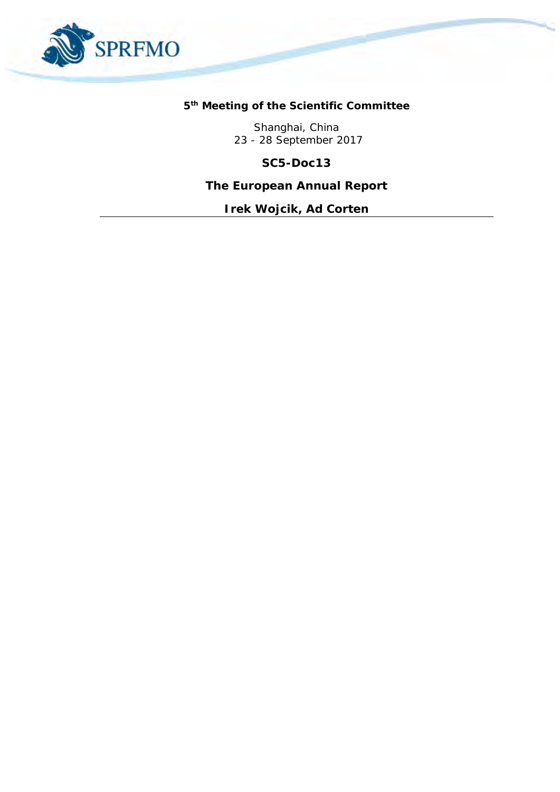

**5 th Meeting of the Scientific Committee** 

Shanghai, China 23 - 28 September 2017

**SC5-Doc13**

**The European Annual Report**

*Irek Wojcik, Ad Corten*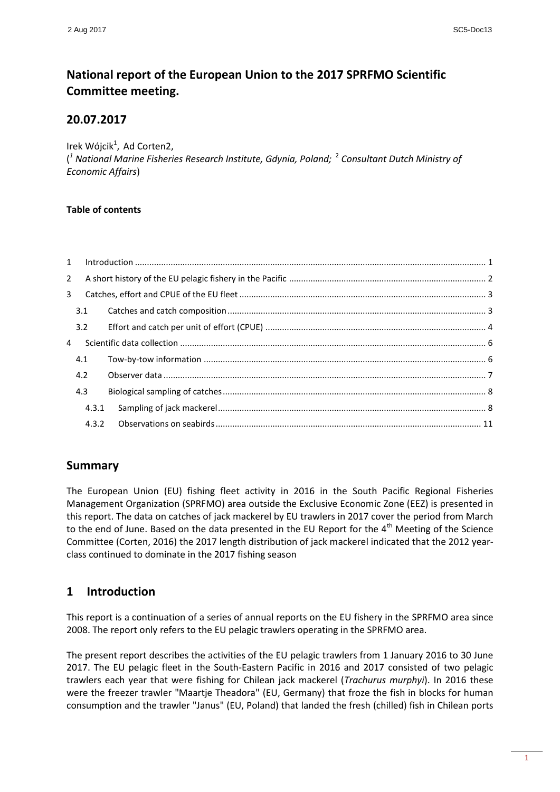# **National report of the European Union to the 2017 SPRFMO Scientific Committee meeting.**

### **20.07.2017**

Irek Wójcik<sup>1</sup>, Ad Corten2,

( *1 National Marine Fisheries Research Institute, Gdynia, Poland;* <sup>2</sup> *Consultant Dutch Ministry of Economic Affairs*)

### **Table of contents**

| 1              |       | $\label{eq:1} \mbox{Introduction} \,\, \ldots \,\, \ldots \,\, \ldots \,\, \ldots \,\, \ldots \,\, \ldots \,\, \ldots \,\, \ldots \,\, \ldots \,\, \ldots \,\, \ldots \,\, \ldots \,\, \ldots \,\, \ldots \,\, \ldots \,\, \ldots \,\, \ldots \,\, \ldots \,\, \ldots \,\, \ldots \,\, \ldots \,\, \ldots \,\, \ldots \,\, \ldots \,\, \ldots \,\, \ldots \,\, \ldots \,\, \ldots \,\, \ldots \,\, \ldots \,\, \ldots \,\, \ldots \,\, \ldots \,\, \ldots \,\,$ |  |
|----------------|-------|-----------------------------------------------------------------------------------------------------------------------------------------------------------------------------------------------------------------------------------------------------------------------------------------------------------------------------------------------------------------------------------------------------------------------------------------------------------------|--|
| $2^{\circ}$    |       |                                                                                                                                                                                                                                                                                                                                                                                                                                                                 |  |
| $\overline{3}$ |       |                                                                                                                                                                                                                                                                                                                                                                                                                                                                 |  |
|                | 3.1   |                                                                                                                                                                                                                                                                                                                                                                                                                                                                 |  |
|                | 3.2   |                                                                                                                                                                                                                                                                                                                                                                                                                                                                 |  |
| 4              |       |                                                                                                                                                                                                                                                                                                                                                                                                                                                                 |  |
|                | 4.1   |                                                                                                                                                                                                                                                                                                                                                                                                                                                                 |  |
|                | 4.2   |                                                                                                                                                                                                                                                                                                                                                                                                                                                                 |  |
|                | 4.3   |                                                                                                                                                                                                                                                                                                                                                                                                                                                                 |  |
|                | 4.3.1 |                                                                                                                                                                                                                                                                                                                                                                                                                                                                 |  |
|                | 4.3.2 |                                                                                                                                                                                                                                                                                                                                                                                                                                                                 |  |

## **Summary**

The European Union (EU) fishing fleet activity in 2016 in the South Pacific Regional Fisheries Management Organization (SPRFMO) area outside the Exclusive Economic Zone (EEZ) is presented in this report. The data on catches of jack mackerel by EU trawlers in 2017 cover the period from March to the end of June. Based on the data presented in the EU Report for the 4<sup>th</sup> Meeting of the Science Committee (Corten, 2016) the 2017 length distribution of jack mackerel indicated that the 2012 yearclass continued to dominate in the 2017 fishing season

## <span id="page-1-0"></span>**1 Introduction**

This report is a continuation of a series of annual reports on the EU fishery in the SPRFMO area since 2008. The report only refers to the EU pelagic trawlers operating in the SPRFMO area.

The present report describes the activities of the EU pelagic trawlers from 1 January 2016 to 30 June 2017. The EU pelagic fleet in the South-Eastern Pacific in 2016 and 2017 consisted of two pelagic trawlers each year that were fishing for Chilean jack mackerel (*Trachurus murphyi*). In 2016 these were the freezer trawler "Maartje Theadora" (EU, Germany) that froze the fish in blocks for human consumption and the trawler "Janus" (EU, Poland) that landed the fresh (chilled) fish in Chilean ports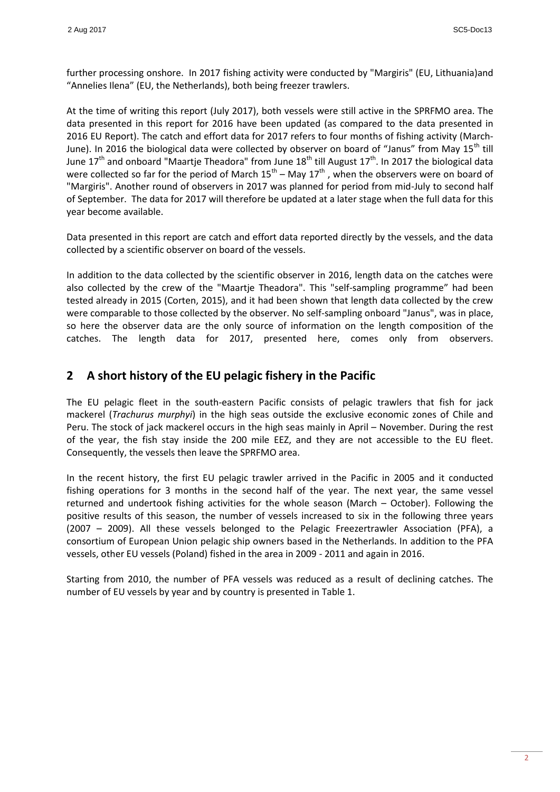further processing onshore. In 2017 fishing activity were conducted by "Margiris" (EU, Lithuania)and "Annelies Ilena" (EU, the Netherlands), both being freezer trawlers.

At the time of writing this report (July 2017), both vessels were still active in the SPRFMO area. The data presented in this report for 2016 have been updated (as compared to the data presented in 2016 EU Report). The catch and effort data for 2017 refers to four months of fishing activity (March-June). In 2016 the biological data were collected by observer on board of "Janus" from May  $15<sup>th</sup>$  till June  $17<sup>th</sup>$  and onboard "Maartje Theadora" from June  $18<sup>th</sup>$  till August  $17<sup>th</sup>$ . In 2017 the biological data were collected so far for the period of March  $15^{\text{th}}$  – May  $17^{\text{th}}$  , when the observers were on board of "Margiris". Another round of observers in 2017 was planned for period from mid-July to second half of September. The data for 2017 will therefore be updated at a later stage when the full data for this year become available.

Data presented in this report are catch and effort data reported directly by the vessels, and the data collected by a scientific observer on board of the vessels.

In addition to the data collected by the scientific observer in 2016, length data on the catches were also collected by the crew of the "Maartje Theadora". This "self-sampling programme" had been tested already in 2015 (Corten, 2015), and it had been shown that length data collected by the crew were comparable to those collected by the observer. No self-sampling onboard "Janus", was in place, so here the observer data are the only source of information on the length composition of the catches. The length data for 2017, presented here, comes only from observers.

## <span id="page-2-0"></span>**2 A short history of the EU pelagic fishery in the Pacific**

The EU pelagic fleet in the south-eastern Pacific consists of pelagic trawlers that fish for jack mackerel (*Trachurus murphyi*) in the high seas outside the exclusive economic zones of Chile and Peru. The stock of jack mackerel occurs in the high seas mainly in April – November. During the rest of the year, the fish stay inside the 200 mile EEZ, and they are not accessible to the EU fleet. Consequently, the vessels then leave the SPRFMO area.

In the recent history, the first EU pelagic trawler arrived in the Pacific in 2005 and it conducted fishing operations for 3 months in the second half of the year. The next year, the same vessel returned and undertook fishing activities for the whole season (March – October). Following the positive results of this season, the number of vessels increased to six in the following three years (2007 – 2009). All these vessels belonged to the Pelagic Freezertrawler Association (PFA), a consortium of European Union pelagic ship owners based in the Netherlands. In addition to the PFA vessels, other EU vessels (Poland) fished in the area in 2009 - 2011 and again in 2016.

Starting from 2010, the number of PFA vessels was reduced as a result of declining catches. The number of EU vessels by year and by country is presented in Table 1.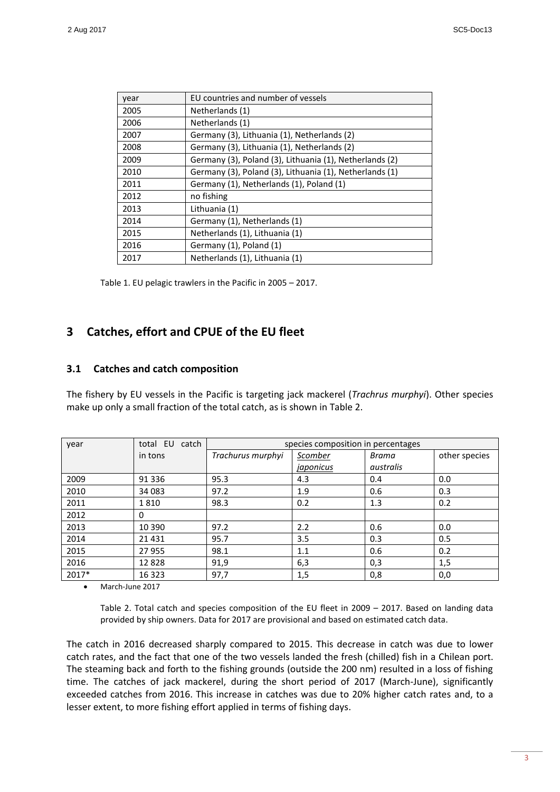| year | EU countries and number of vessels                      |
|------|---------------------------------------------------------|
| 2005 | Netherlands (1)                                         |
| 2006 | Netherlands (1)                                         |
| 2007 | Germany (3), Lithuania (1), Netherlands (2)             |
| 2008 | Germany (3), Lithuania (1), Netherlands (2)             |
| 2009 | Germany (3), Poland (3), Lithuania (1), Netherlands (2) |
| 2010 | Germany (3), Poland (3), Lithuania (1), Netherlands (1) |
| 2011 | Germany (1), Netherlands (1), Poland (1)                |
| 2012 | no fishing                                              |
| 2013 | Lithuania (1)                                           |
| 2014 | Germany (1), Netherlands (1)                            |
| 2015 | Netherlands (1), Lithuania (1)                          |
| 2016 | Germany (1), Poland (1)                                 |
| 2017 | Netherlands (1), Lithuania (1)                          |

Table 1. EU pelagic trawlers in the Pacific in 2005 – 2017.

## <span id="page-3-0"></span>**3 Catches, effort and CPUE of the EU fleet**

### <span id="page-3-1"></span>**3.1 Catches and catch composition**

The fishery by EU vessels in the Pacific is targeting jack mackerel (*Trachrus murphyi*). Other species make up only a small fraction of the total catch, as is shown in Table 2.

| year  | total EU catch | species composition in percentages |           |           |               |
|-------|----------------|------------------------------------|-----------|-----------|---------------|
|       | in tons        | Trachurus murphyi                  | Scomber   | Brama     | other species |
|       |                |                                    | japonicus | australis |               |
| 2009  | 91 336         | 95.3                               | 4.3       | 0.4       | 0.0           |
| 2010  | 34 083         | 97.2                               | 1.9       | 0.6       | 0.3           |
| 2011  | 1810           | 98.3                               | 0.2       | 1.3       | 0.2           |
| 2012  | 0              |                                    |           |           |               |
| 2013  | 10 390         | 97.2                               | 2.2       | 0.6       | 0.0           |
| 2014  | 21 4 31        | 95.7                               | 3.5       | 0.3       | 0.5           |
| 2015  | 27 955         | 98.1                               | 1.1       | 0.6       | 0.2           |
| 2016  | 12828          | 91,9                               | 6,3       | 0,3       | 1,5           |
| 2017* | 16 3 23        | 97,7                               | 1,5       | 0,8       | 0,0           |

March-June 2017

Table 2. Total catch and species composition of the EU fleet in 2009 – 2017. Based on landing data provided by ship owners. Data for 2017 are provisional and based on estimated catch data.

The catch in 2016 decreased sharply compared to 2015. This decrease in catch was due to lower catch rates, and the fact that one of the two vessels landed the fresh (chilled) fish in a Chilean port. The steaming back and forth to the fishing grounds (outside the 200 nm) resulted in a loss of fishing time. The catches of jack mackerel, during the short period of 2017 (March-June), significantly exceeded catches from 2016. This increase in catches was due to 20% higher catch rates and, to a lesser extent, to more fishing effort applied in terms of fishing days.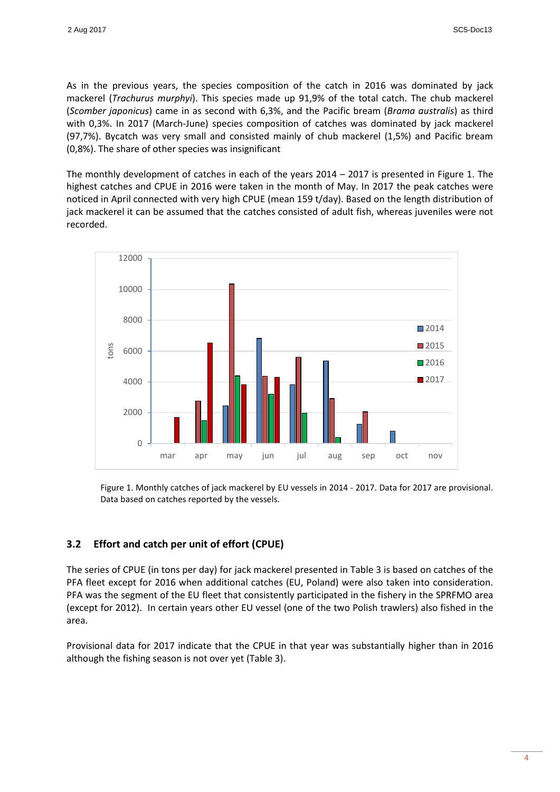As in the previous years, the species composition of the catch in 2016 was dominated by jack mackerel (*Trachurus murphyi*). This species made up 91,9% of the total catch. The chub mackerel (*Scomber japonicus*) came in as second with 6,3%, and the Pacific bream (*Brama australis*) as third with 0,3%. In 2017 (March-June) species composition of catches was dominated by jack mackerel (97,7%). Bycatch was very small and consisted mainly of chub mackerel (1,5%) and Pacific bream (0,8%). The share of other species was insignificant

The monthly development of catches in each of the years 2014 – 2017 is presented in Figure 1. The highest catches and CPUE in 2016 were taken in the month of May. In 2017 the peak catches were noticed in April connected with very high CPUE (mean 159 t/day). Based on the length distribution of jack mackerel it can be assumed that the catches consisted of adult fish, whereas juveniles were not recorded.



Figure 1. Monthly catches of jack mackerel by EU vessels in 2014 - 2017. Data for 2017 are provisional. Data based on catches reported by the vessels.

### <span id="page-4-0"></span>**3.2 Effort and catch per unit of effort (CPUE)**

The series of CPUE (in tons per day) for jack mackerel presented in Table 3 is based on catches of the PFA fleet except for 2016 when additional catches (EU, Poland) were also taken into consideration. PFA was the segment of the EU fleet that consistently participated in the fishery in the SPRFMO area (except for 2012). In certain years other EU vessel (one of the two Polish trawlers) also fished in the area.

Provisional data for 2017 indicate that the CPUE in that year was substantially higher than in 2016 although the fishing season is not over yet (Table 3).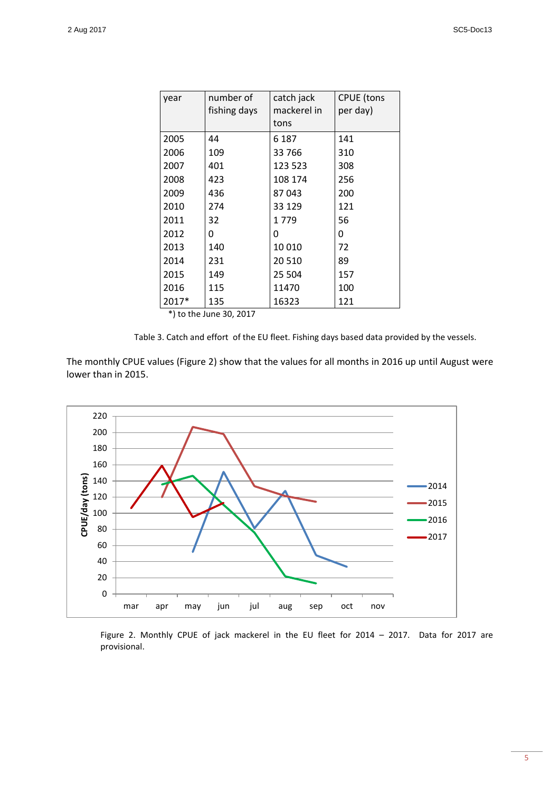| year  | number of    | catch jack  | <b>CPUE</b> (tons |
|-------|--------------|-------------|-------------------|
|       | fishing days | mackerel in | per day)          |
|       |              | tons        |                   |
| 2005  | 44           | 6 187       | 141               |
| 2006  | 109          | 33766       | 310               |
| 2007  | 401          | 123 523     | 308               |
| 2008  | 423          | 108 174     | 256               |
| 2009  | 436          | 87043       | 200               |
| 2010  | 274          | 33 1 29     | 121               |
| 2011  | 32           | 1779        | 56                |
| 2012  | 0            | 0           | 0                 |
| 2013  | 140          | 10010       | 72                |
| 2014  | 231          | 20 5 10     | 89                |
| 2015  | 149          | 25 504      | 157               |
| 2016  | 115          | 11470       | 100               |
| 2017* | 135          | 16323       | 121               |

\*) to the June 30, 2017

Table 3. Catch and effort of the EU fleet. Fishing days based data provided by the vessels.

The monthly CPUE values (Figure 2) show that the values for all months in 2016 up until August were lower than in 2015.



Figure 2. Monthly CPUE of jack mackerel in the EU fleet for 2014 – 2017. Data for 2017 are provisional.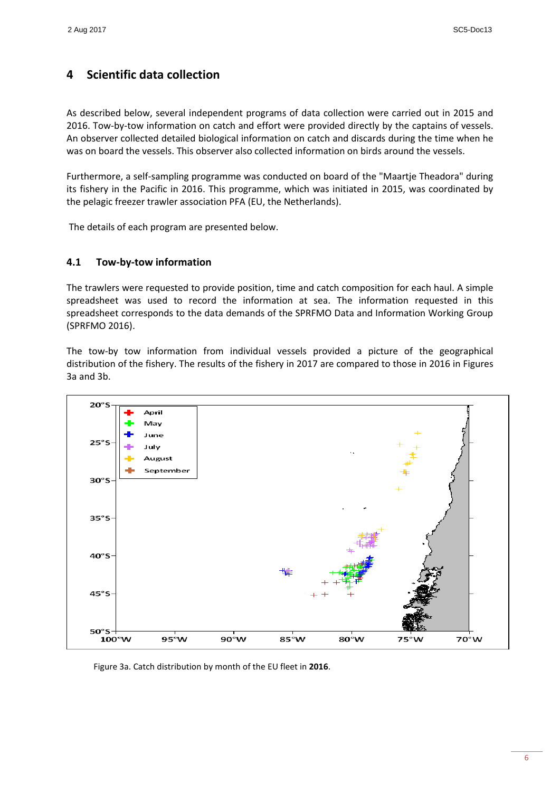## <span id="page-6-0"></span>**4 Scientific data collection**

As described below, several independent programs of data collection were carried out in 2015 and 2016. Tow-by-tow information on catch and effort were provided directly by the captains of vessels. An observer collected detailed biological information on catch and discards during the time when he was on board the vessels. This observer also collected information on birds around the vessels.

Furthermore, a self-sampling programme was conducted on board of the "Maartje Theadora" during its fishery in the Pacific in 2016. This programme, which was initiated in 2015, was coordinated by the pelagic freezer trawler association PFA (EU, the Netherlands).

The details of each program are presented below.

### <span id="page-6-1"></span>**4.1 Tow-by-tow information**

The trawlers were requested to provide position, time and catch composition for each haul. A simple spreadsheet was used to record the information at sea. The information requested in this spreadsheet corresponds to the data demands of the SPRFMO Data and Information Working Group (SPRFMO 2016).

The tow-by tow information from individual vessels provided a picture of the geographical distribution of the fishery. The results of the fishery in 2017 are compared to those in 2016 in Figures 3a and 3b.



Figure 3a. Catch distribution by month of the EU fleet in **2016**.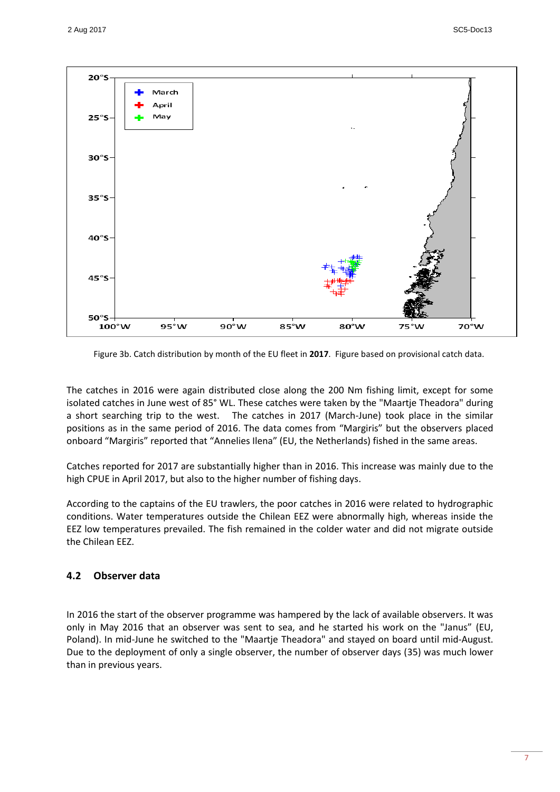

Figure 3b. Catch distribution by month of the EU fleet in **2017**. Figure based on provisional catch data.

The catches in 2016 were again distributed close along the 200 Nm fishing limit, except for some isolated catches in June west of 85° WL. These catches were taken by the "Maartje Theadora" during a short searching trip to the west. The catches in 2017 (March-June) took place in the similar positions as in the same period of 2016. The data comes from "Margiris" but the observers placed onboard "Margiris" reported that "Annelies Ilena" (EU, the Netherlands) fished in the same areas.

Catches reported for 2017 are substantially higher than in 2016. This increase was mainly due to the high CPUE in April 2017, but also to the higher number of fishing days.

According to the captains of the EU trawlers, the poor catches in 2016 were related to hydrographic conditions. Water temperatures outside the Chilean EEZ were abnormally high, whereas inside the EEZ low temperatures prevailed. The fish remained in the colder water and did not migrate outside the Chilean EEZ.

#### <span id="page-7-0"></span>**4.2 Observer data**

In 2016 the start of the observer programme was hampered by the lack of available observers. It was only in May 2016 that an observer was sent to sea, and he started his work on the "Janus" (EU, Poland). In mid-June he switched to the "Maartje Theadora" and stayed on board until mid-August. Due to the deployment of only a single observer, the number of observer days (35) was much lower than in previous years.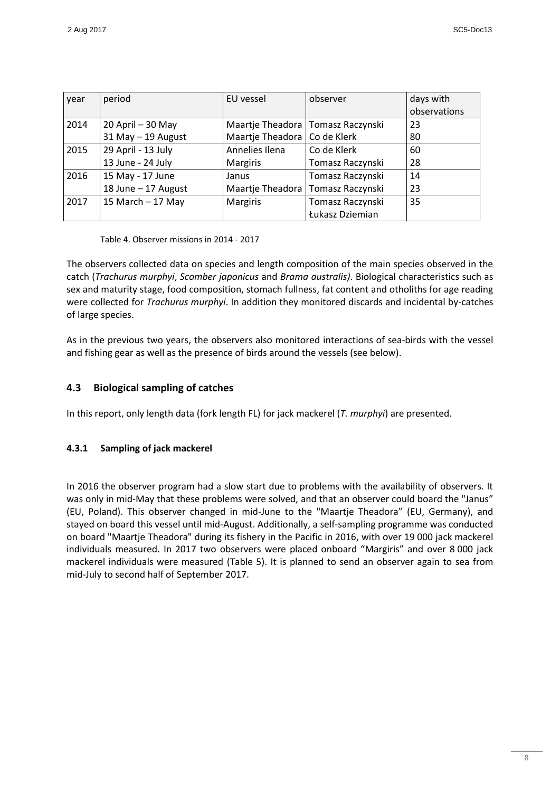| year | period              | EU vessel                           | observer         | days with    |
|------|---------------------|-------------------------------------|------------------|--------------|
|      |                     |                                     |                  | observations |
| 2014 | 20 April - 30 May   | Maartje Theadora   Tomasz Raczynski |                  | 23           |
|      | 31 May - 19 August  | Maartje Theadora   Co de Klerk      |                  | 80           |
| 2015 | 29 April - 13 July  | Annelies Ilena                      | Co de Klerk      | 60           |
|      | 13 June - 24 July   | <b>Margiris</b>                     | Tomasz Raczynski | 28           |
| 2016 | 15 May - 17 June    | Janus                               | Tomasz Raczynski | 14           |
|      | 18 June - 17 August | Maartje Theadora   Tomasz Raczynski |                  | 23           |
| 2017 | 15 March $-$ 17 May | Margiris                            | Tomasz Raczynski | 35           |
|      |                     |                                     | Łukasz Dziemian  |              |

Table 4. Observer missions in 2014 - 2017

The observers collected data on species and length composition of the main species observed in the catch (*Trachurus murphyi*, *Scomber japonicus* and *Brama australis)*. Biological characteristics such as sex and maturity stage, food composition, stomach fullness, fat content and otholiths for age reading were collected for *Trachurus murphyi*. In addition they monitored discards and incidental by-catches of large species.

As in the previous two years, the observers also monitored interactions of sea-birds with the vessel and fishing gear as well as the presence of birds around the vessels (see below).

### <span id="page-8-0"></span>**4.3 Biological sampling of catches**

In this report, only length data (fork length FL) for jack mackerel (*T. murphyi*) are presented.

#### <span id="page-8-1"></span>**4.3.1 Sampling of jack mackerel**

In 2016 the observer program had a slow start due to problems with the availability of observers. It was only in mid-May that these problems were solved, and that an observer could board the "Janus" (EU, Poland). This observer changed in mid-June to the "Maartje Theadora" (EU, Germany), and stayed on board this vessel until mid-August. Additionally, a self-sampling programme was conducted on board "Maartje Theadora" during its fishery in the Pacific in 2016, with over 19 000 jack mackerel individuals measured. In 2017 two observers were placed onboard "Margiris" and over 8 000 jack mackerel individuals were measured (Table 5). It is planned to send an observer again to sea from mid-July to second half of September 2017.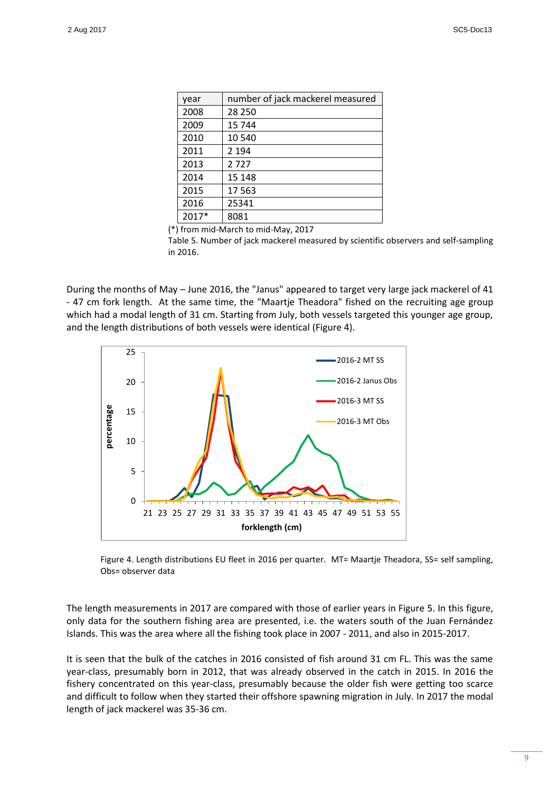| year  | number of jack mackerel measured |
|-------|----------------------------------|
| 2008  | 28 250                           |
| 2009  | 15 744                           |
| 2010  | 10 540                           |
| 2011  | 2 1 9 4                          |
| 2013  | 2727                             |
| 2014  | 15 148                           |
| 2015  | 17 563                           |
| 2016  | 25341                            |
| 2017* | 8081                             |

(\*) from mid-March to mid-May, 2017

Table 5. Number of jack mackerel measured by scientific observers and self-sampling in 2016.

During the months of May – June 2016, the "Janus" appeared to target very large jack mackerel of 41 - 47 cm fork length. At the same time, the "Maartje Theadora" fished on the recruiting age group which had a modal length of 31 cm. Starting from July, both vessels targeted this younger age group, and the length distributions of both vessels were identical (Figure 4).



Figure 4. Length distributions EU fleet in 2016 per quarter. MT= Maartje Theadora, SS= self sampling, Obs= observer data

The length measurements in 2017 are compared with those of earlier years in Figure 5. In this figure, only data for the southern fishing area are presented, i.e. the waters south of the Juan Fernández Islands. This was the area where all the fishing took place in 2007 - 2011, and also in 2015-2017.

It is seen that the bulk of the catches in 2016 consisted of fish around 31 cm FL. This was the same year-class, presumably born in 2012, that was already observed in the catch in 2015. In 2016 the fishery concentrated on this year-class, presumably because the older fish were getting too scarce and difficult to follow when they started their offshore spawning migration in July. In 2017 the modal length of jack mackerel was 35-36 cm.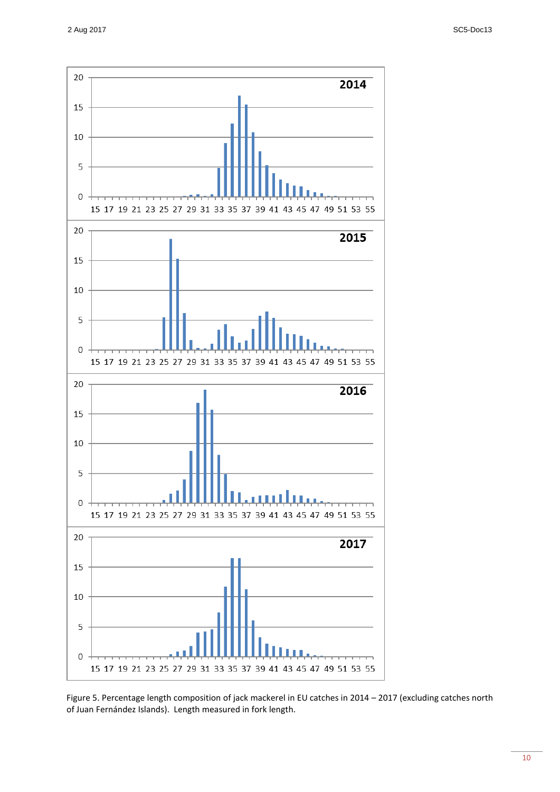

Figure 5. Percentage length composition of jack mackerel in EU catches in 2014 – 2017 (excluding catches north of Juan Fernández Islands). Length measured in fork length.